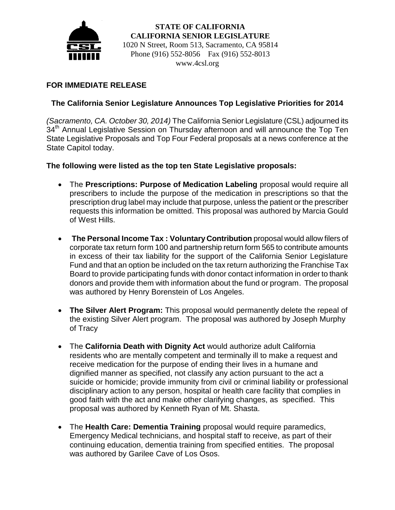

 **STATE OF CALIFORNIA CALIFORNIA SENIOR LEGISLATURE** 1020 N Street, Room 513, Sacramento, CA 95814 Phone (916) 552-8056 Fax (916) 552-8013 www.4csl.org

# **FOR IMMEDIATE RELEASE**

# **The California Senior Legislature Announces Top Legislative Priorities for 2014**

*(Sacramento, CA. October 30, 2014)* The California Senior Legislature (CSL) adjourned its 34<sup>th</sup> Annual Legislative Session on Thursday afternoon and will announce the Top Ten State Legislative Proposals and Top Four Federal proposals at a news conference at the State Capitol today.

## **The following were listed as the top ten State Legislative proposals:**

- The **Prescriptions: Purpose of Medication Labeling** proposal would require all prescribers to include the purpose of the medication in prescriptions so that the prescription drug label may include that purpose, unless the patient or the prescriber requests this information be omitted. This proposal was authored by Marcia Gould of West Hills.
- **The Personal Income Tax : Voluntary Contribution** proposal would allow filers of corporate tax return form 100 and partnership return form 565 to contribute amounts in excess of their tax liability for the support of the California Senior Legislature Fund and that an option be included on the tax return authorizing the Franchise Tax Board to provide participating funds with donor contact information in order to thank donors and provide them with information about the fund or program. The proposal was authored by Henry Borenstein of Los Angeles.
- **The Silver Alert Program:** This proposal would permanently delete the repeal of the existing Silver Alert program. The proposal was authored by Joseph Murphy of Tracy
- The **California Death with Dignity Act** would authorize adult California residents who are mentally competent and terminally ill to make a request and receive medication for the purpose of ending their lives in a humane and dignified manner as specified, not classify any action pursuant to the act a suicide or homicide; provide immunity from civil or criminal liability or professional disciplinary action to any person, hospital or health care facility that complies in good faith with the act and make other clarifying changes, as specified. This proposal was authored by Kenneth Ryan of Mt. Shasta.
- The **Health Care: Dementia Training** proposal would require paramedics, Emergency Medical technicians, and hospital staff to receive, as part of their continuing education, dementia training from specified entities. The proposal was authored by Garilee Cave of Los Osos.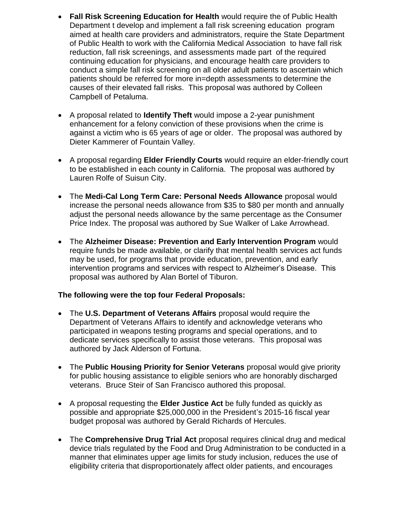- **Fall Risk Screening Education for Health** would require the of Public Health Department t develop and implement a fall risk screening education program aimed at health care providers and administrators, require the State Department of Public Health to work with the California Medical Association to have fall risk reduction, fall risk screenings, and assessments made part of the required continuing education for physicians, and encourage health care providers to conduct a simple fall risk screening on all older adult patients to ascertain which patients should be referred for more in=depth assessments to determine the causes of their elevated fall risks. This proposal was authored by Colleen Campbell of Petaluma.
- A proposal related to **Identify Theft** would impose a 2-year punishment enhancement for a felony conviction of these provisions when the crime is against a victim who is 65 years of age or older. The proposal was authored by Dieter Kammerer of Fountain Valley.
- A proposal regarding **Elder Friendly Courts** would require an elder-friendly court to be established in each county in California. The proposal was authored by Lauren Rolfe of Suisun City.
- The **Medi-Cal Long Term Care: Personal Needs Allowance** proposal would increase the personal needs allowance from \$35 to \$80 per month and annually adjust the personal needs allowance by the same percentage as the Consumer Price Index. The proposal was authored by Sue Walker of Lake Arrowhead.
- The **Alzheimer Disease: Prevention and Early Intervention Program** would require funds be made available, or clarify that mental health services act funds may be used, for programs that provide education, prevention, and early intervention programs and services with respect to Alzheimer's Disease. This proposal was authored by Alan Bortel of Tiburon.

## **The following were the top four Federal Proposals:**

- The **U.S. Department of Veterans Affairs** proposal would require the Department of Veterans Affairs to identify and acknowledge veterans who participated in weapons testing programs and special operations, and to dedicate services specifically to assist those veterans. This proposal was authored by Jack Alderson of Fortuna.
- The **Public Housing Priority for Senior Veterans** proposal would give priority for public housing assistance to eligible seniors who are honorably discharged veterans. Bruce Steir of San Francisco authored this proposal.
- A proposal requesting the **Elder Justice Act** be fully funded as quickly as possible and appropriate \$25,000,000 in the President's 2015-16 fiscal year budget proposal was authored by Gerald Richards of Hercules.
- The **Comprehensive Drug Trial Act** proposal requires clinical drug and medical device trials regulated by the Food and Drug Administration to be conducted in a manner that eliminates upper age limits for study inclusion, reduces the use of eligibility criteria that disproportionately affect older patients, and encourages